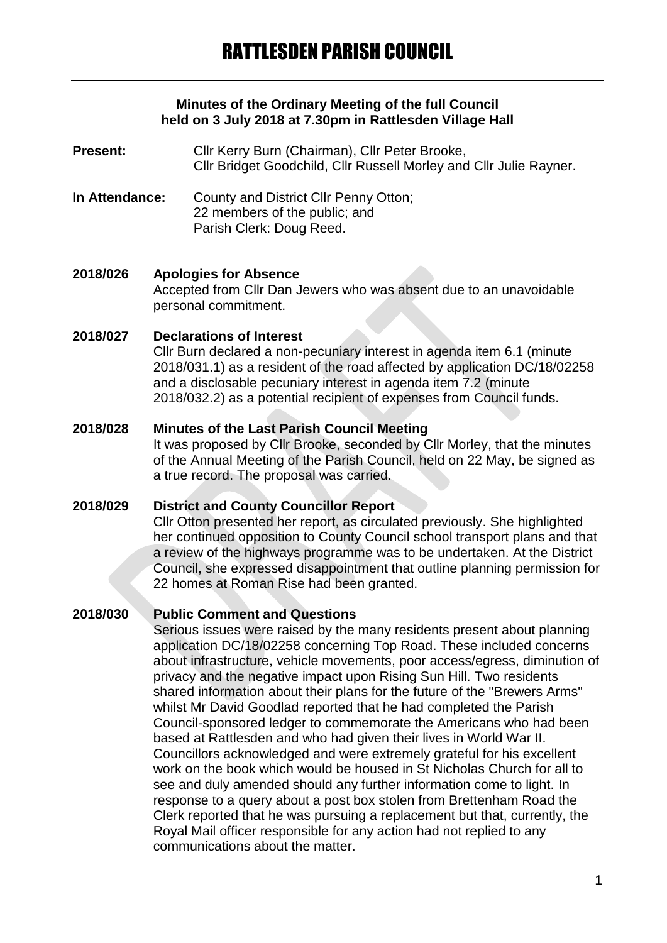#### **Minutes of the Ordinary Meeting of the full Council held on 3 July 2018 at 7.30pm in Rattlesden Village Hall**

- **Present:** Cllr Kerry Burn (Chairman), Cllr Peter Brooke, Cllr Bridget Goodchild, Cllr Russell Morley and Cllr Julie Rayner.
- **In Attendance:** County and District Cllr Penny Otton; 22 members of the public; and Parish Clerk: Doug Reed.

#### **2018/026 Apologies for Absence**

Accepted from Cllr Dan Jewers who was absent due to an unavoidable personal commitment.

#### **2018/027 Declarations of Interest**

Cllr Burn declared a non-pecuniary interest in agenda item 6.1 (minute 2018/031.1) as a resident of the road affected by application DC/18/02258 and a disclosable pecuniary interest in agenda item 7.2 (minute 2018/032.2) as a potential recipient of expenses from Council funds.

#### **2018/028 Minutes of the Last Parish Council Meeting**

It was proposed by Cllr Brooke, seconded by Cllr Morley, that the minutes of the Annual Meeting of the Parish Council, held on 22 May, be signed as a true record. The proposal was carried.

## **2018/029 District and County Councillor Report**

Cllr Otton presented her report, as circulated previously. She highlighted her continued opposition to County Council school transport plans and that a review of the highways programme was to be undertaken. At the District Council, she expressed disappointment that outline planning permission for 22 homes at Roman Rise had been granted.

#### **2018/030 Public Comment and Questions**

Serious issues were raised by the many residents present about planning application DC/18/02258 concerning Top Road. These included concerns about infrastructure, vehicle movements, poor access/egress, diminution of privacy and the negative impact upon Rising Sun Hill. Two residents shared information about their plans for the future of the "Brewers Arms" whilst Mr David Goodlad reported that he had completed the Parish Council-sponsored ledger to commemorate the Americans who had been based at Rattlesden and who had given their lives in World War II. Councillors acknowledged and were extremely grateful for his excellent work on the book which would be housed in St Nicholas Church for all to see and duly amended should any further information come to light. In response to a query about a post box stolen from Brettenham Road the Clerk reported that he was pursuing a replacement but that, currently, the Royal Mail officer responsible for any action had not replied to any communications about the matter.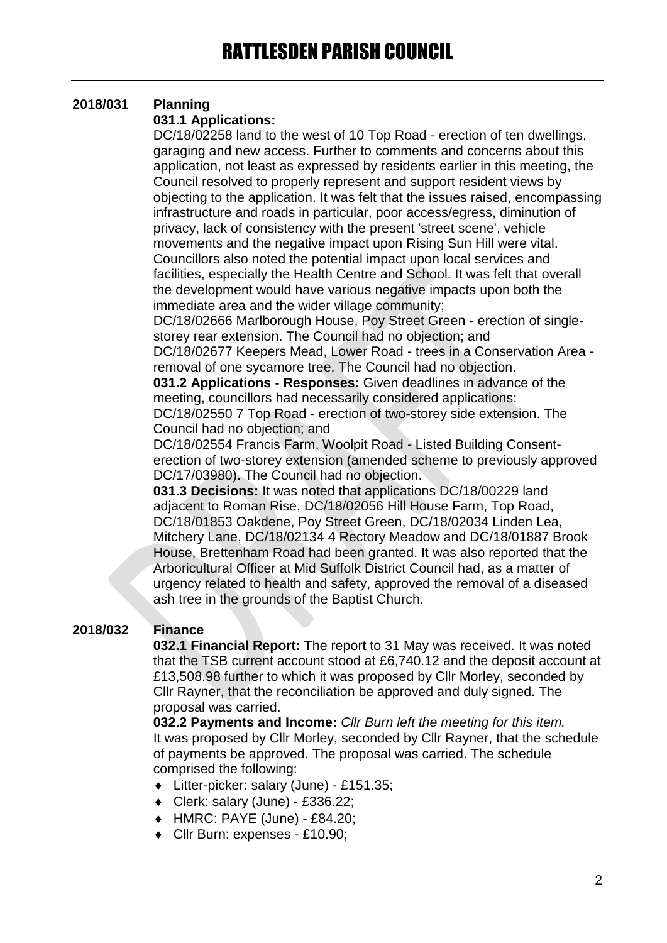# **2018/031 Planning**

## **031.1 Applications:**

DC/18/02258 land to the west of 10 Top Road - erection of ten dwellings, garaging and new access. Further to comments and concerns about this application, not least as expressed by residents earlier in this meeting, the Council resolved to properly represent and support resident views by objecting to the application. It was felt that the issues raised, encompassing infrastructure and roads in particular, poor access/egress, diminution of privacy, lack of consistency with the present 'street scene', vehicle movements and the negative impact upon Rising Sun Hill were vital. Councillors also noted the potential impact upon local services and facilities, especially the Health Centre and School. It was felt that overall the development would have various negative impacts upon both the immediate area and the wider village community;

DC/18/02666 Marlborough House, Poy Street Green - erection of singlestorey rear extension. The Council had no objection; and

DC/18/02677 Keepers Mead, Lower Road - trees in a Conservation Area removal of one sycamore tree. The Council had no objection.

**031.2 Applications - Responses:** Given deadlines in advance of the meeting, councillors had necessarily considered applications:

DC/18/02550 7 Top Road - erection of two-storey side extension. The Council had no objection; and

DC/18/02554 Francis Farm, Woolpit Road - Listed Building Consenterection of two-storey extension (amended scheme to previously approved DC/17/03980). The Council had no objection.

**031.3 Decisions:** It was noted that applications DC/18/00229 land adjacent to Roman Rise, DC/18/02056 Hill House Farm, Top Road, DC/18/01853 Oakdene, Poy Street Green, DC/18/02034 Linden Lea, Mitchery Lane, DC/18/02134 4 Rectory Meadow and DC/18/01887 Brook House, Brettenham Road had been granted. It was also reported that the Arboricultural Officer at Mid Suffolk District Council had, as a matter of urgency related to health and safety, approved the removal of a diseased ash tree in the grounds of the Baptist Church.

# **2018/032 Finance**

**032.1 Financial Report:** The report to 31 May was received. It was noted that the TSB current account stood at £6,740.12 and the deposit account at £13,508.98 further to which it was proposed by Cllr Morley, seconded by Cllr Rayner, that the reconciliation be approved and duly signed. The proposal was carried.

**032.2 Payments and Income:** *Cllr Burn left the meeting for this item.* It was proposed by Cllr Morley, seconded by Cllr Rayner, that the schedule of payments be approved. The proposal was carried. The schedule comprised the following:

- Litter-picker: salary (June) £151.35;
- Clerk: salary (June) £336.22;
- $\leftrightarrow$  HMRC: PAYE (June) £84.20;
- ◆ Cllr Burn: expenses £10.90: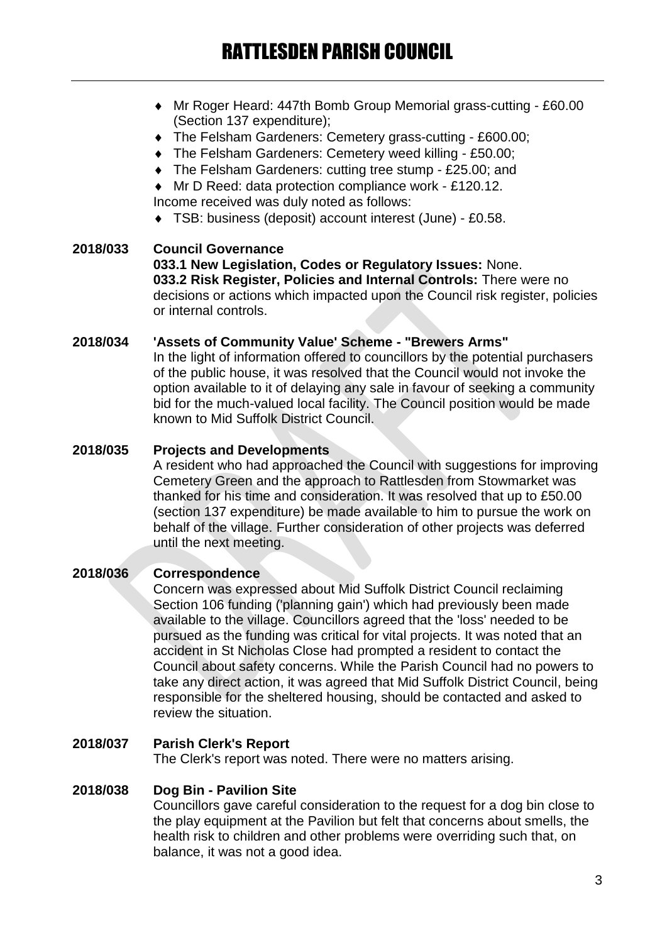- Mr Roger Heard: 447th Bomb Group Memorial grass-cutting £60.00 (Section 137 expenditure);
- The Felsham Gardeners: Cemetery grass-cutting £600.00;
- The Felsham Gardeners: Cemetery weed killing £50.00;
- ◆ The Felsham Gardeners: cutting tree stump £25.00; and
- Mr D Reed: data protection compliance work £120.12. Income received was duly noted as follows:
- TSB: business (deposit) account interest (June) £0.58.

## **2018/033 Council Governance 033.1 New Legislation, Codes or Regulatory Issues:** None. **033.2 Risk Register, Policies and Internal Controls:** There were no decisions or actions which impacted upon the Council risk register, policies or internal controls.

## **2018/034 'Assets of Community Value' Scheme - "Brewers Arms"**

In the light of information offered to councillors by the potential purchasers of the public house, it was resolved that the Council would not invoke the option available to it of delaying any sale in favour of seeking a community bid for the much-valued local facility. The Council position would be made known to Mid Suffolk District Council.

## **2018/035 Projects and Developments**

A resident who had approached the Council with suggestions for improving Cemetery Green and the approach to Rattlesden from Stowmarket was thanked for his time and consideration. It was resolved that up to £50.00 (section 137 expenditure) be made available to him to pursue the work on behalf of the village. Further consideration of other projects was deferred until the next meeting.

# **2018/036 Correspondence**

Concern was expressed about Mid Suffolk District Council reclaiming Section 106 funding ('planning gain') which had previously been made available to the village. Councillors agreed that the 'loss' needed to be pursued as the funding was critical for vital projects. It was noted that an accident in St Nicholas Close had prompted a resident to contact the Council about safety concerns. While the Parish Council had no powers to take any direct action, it was agreed that Mid Suffolk District Council, being responsible for the sheltered housing, should be contacted and asked to review the situation.

# **2018/037 Parish Clerk's Report**

The Clerk's report was noted. There were no matters arising.

## **2018/038 Dog Bin - Pavilion Site**

Councillors gave careful consideration to the request for a dog bin close to the play equipment at the Pavilion but felt that concerns about smells, the health risk to children and other problems were overriding such that, on balance, it was not a good idea.